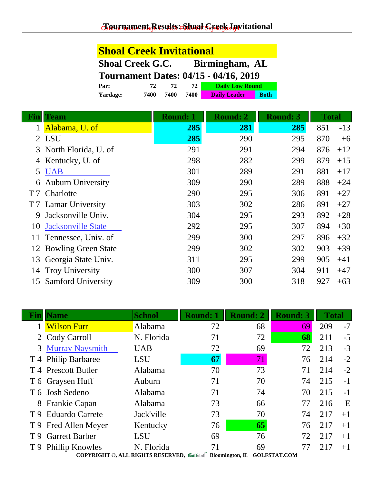# **Shoal Creek Invitational**

| <b>Shoal Creek G.C.</b>                           | Birmingham, AL |  |
|---------------------------------------------------|----------------|--|
| $T_{\alpha}$ urnamant Datas: $04/15$ $04/16$ 2010 |                |  |

| Tournament Dates: 04/15 - 04/10, 2019 |      |      |      |                        |             |  |
|---------------------------------------|------|------|------|------------------------|-------------|--|
| Par:                                  | 72   | 72   | 72.  | <b>Daily Low Round</b> |             |  |
| Yardage:                              | 7400 | 7400 | 7400 | <b>Daily Leader</b>    | <b>Both</b> |  |

| Fın            | Team                      | <b>Round: 1</b> | <b>Round: 2</b> | <b>Round: 3</b> | <b>Total</b> |       |
|----------------|---------------------------|-----------------|-----------------|-----------------|--------------|-------|
|                | Alabama, U. of            | 285             | 281             | 285             | 851          | $-13$ |
|                | 2 LSU                     | 285             | 290             | 295             | 870          | $+6$  |
|                | 3 North Florida, U. of    | 291             | 291             | 294             | 876          | $+12$ |
| 4              | Kentucky, U. of           | 298             | 282             | 299             | 879          | $+15$ |
| 5              | <b>UAB</b>                | 301             | 289             | 291             | 881          | $+17$ |
| 6              | <b>Auburn University</b>  | 309             | 290             | 289             | 888          | $+24$ |
| T <sub>7</sub> | Charlotte                 | 290             | 295             | 306             | 891          | $+27$ |
|                | T 7 Lamar University      | 303             | 302             | 286             | 891          | $+27$ |
| 9              | Jacksonville Univ.        | 304             | 295             | 293             | 892          | $+28$ |
| 10             | <b>Jacksonville State</b> | 292             | 295             | 307             | 894          | $+30$ |
| 11             | Tennessee, Univ. of       | 299             | 300             | 297             | 896          | $+32$ |
|                | 12 Bowling Green State    | 299             | 302             | 302             | 903          | $+39$ |
| 13             | Georgia State Univ.       | 311             | 295             | 299             | 905          | $+41$ |
| 14             | <b>Troy University</b>    | 300             | 307             | 304             | 911          | $+47$ |
| 15             | <b>Samford University</b> | 309             | 300             | 318             | 927          | $+63$ |

|     | <b>lame</b>                                                              | <b>School</b> | <b>Round: 1</b> | <b>Round: 2</b> | <b>Round: 3</b> | <b>Total</b> |      |  |
|-----|--------------------------------------------------------------------------|---------------|-----------------|-----------------|-----------------|--------------|------|--|
|     | <b>Wilson Furr</b>                                                       | Alabama       | 72              | 68              | 69              | 209          | $-7$ |  |
|     | 2 Cody Carroll                                                           | N. Florida    | 71              | 72              | 68              | 211          | $-5$ |  |
|     | 3 Murray Naysmith                                                        | <b>UAB</b>    | 72              | 69              | 72              | 213          | $-3$ |  |
|     | T 4 Philip Barbaree                                                      | <b>LSU</b>    | 67              | 71              | 76              | 214          | $-2$ |  |
|     | T 4 Prescott Butler                                                      | Alabama       | 70              | 73              | 71              | 214          | $-2$ |  |
|     | T 6 Graysen Huff                                                         | Auburn        | 71              | 70              | 74              | 215          | $-1$ |  |
|     | T 6 Josh Sedeno                                                          | Alabama       | 71              | 74              | 70              | 215          | $-1$ |  |
|     | 8 Frankie Capan                                                          | Alabama       | 73              | 66              | 77              | 216          | E    |  |
| T 9 | <b>Eduardo Carrete</b>                                                   | Jack'ville    | 73              | 70              | 74              | 217          | $+1$ |  |
|     | T 9 Fred Allen Meyer                                                     | Kentucky      | 76              | 65              | 76              | 217          | $+1$ |  |
|     | T 9 Garrett Barber                                                       | LSU           | 69              | 76              | 72              | 217          | $+1$ |  |
|     | T 9 Phillip Knowles                                                      | N. Florida    | 71              | 69              | 77              | 217          | $+1$ |  |
|     | COPYRIGHT ©, ALL RIGHTS RESERVED, Collected Bloomington, IL GOLFSTAT.COM |               |                 |                 |                 |              |      |  |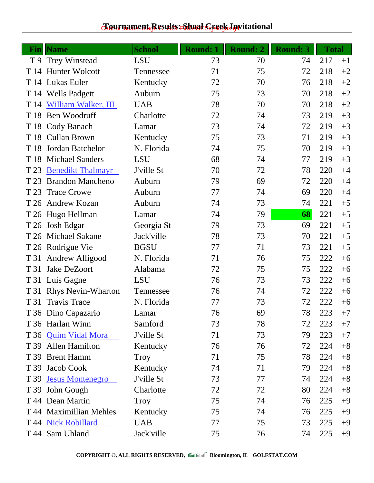### $c$ Eournament Results: Shoal C<sub>GSC8</sub> Lywitational

| Fin  | <b>Name</b>              | <b>School</b> | <b>Round: 1</b> | <b>Round: 2</b> | <b>Round: 3</b> | <b>Total</b> |      |
|------|--------------------------|---------------|-----------------|-----------------|-----------------|--------------|------|
|      | T 9 Trey Winstead        | LSU           | 73              | 70              | 74              | 217          | $+1$ |
| T 14 | <b>Hunter Wolcott</b>    | Tennessee     | 71              | 75              | 72              | 218          | $+2$ |
|      | T 14 Lukas Euler         | Kentucky      | 72              | 70              | 76              | 218          | $+2$ |
|      | T 14 Wells Padgett       | Auburn        | 75              | 73              | 70              | 218          | $+2$ |
| T 14 | William Walker, III      | <b>UAB</b>    | 78              | 70              | 70              | 218          | $+2$ |
| T 18 | Ben Woodruff             | Charlotte     | 72              | 74              | 73              | 219          | $+3$ |
|      | T 18 Cody Banach         | Lamar         | 73              | 74              | 72              | 219          | $+3$ |
|      | T 18 Cullan Brown        | Kentucky      | 75              | 73              | 71              | 219          | $+3$ |
| T 18 | Jordan Batchelor         | N. Florida    | 74              | 75              | 70              | 219          | $+3$ |
|      | T 18 Michael Sanders     | <b>LSU</b>    | 68              | 74              | 77              | 219          | $+3$ |
| T 23 | <b>Benedikt Thalmayr</b> | J'ville St    | 70              | 72              | 78              | 220          | $+4$ |
| T 23 | <b>Brandon Mancheno</b>  | Auburn        | 79              | 69              | 72              | 220          | $+4$ |
| T 23 | <b>Trace Crowe</b>       | Auburn        | 77              | 74              | 69              | 220          | $+4$ |
|      | T 26 Andrew Kozan        | Auburn        | 74              | 73              | 74              | 221          | $+5$ |
|      | T 26 Hugo Hellman        | Lamar         | 74              | 79              | 68              | 221          | $+5$ |
|      | T 26 Josh Edgar          | Georgia St    | 79              | 73              | 69              | 221          | $+5$ |
|      | T 26 Michael Sakane      | Jack'ville    | 78              | 73              | 70              | 221          | $+5$ |
|      | T 26 Rodrigue Vie        | <b>BGSU</b>   | 77              | 71              | 73              | 221          | $+5$ |
|      | T 31 Andrew Alligood     | N. Florida    | 71              | 76              | 75              | 222          | $+6$ |
| T 31 | Jake DeZoort             | Alabama       | 72              | 75              | 75              | 222          | $+6$ |
|      | T 31 Luis Gagne          | LSU           | 76              | 73              | 73              | 222          | $+6$ |
|      | T 31 Rhys Nevin-Wharton  | Tennessee     | 76              | 74              | 72              | 222          | $+6$ |
| T 31 | <b>Travis Trace</b>      | N. Florida    | 77              | 73              | 72              | 222          | $+6$ |
|      | T 36 Dino Capazario      | Lamar         | 76              | 69              | 78              | 223          | $+7$ |
|      | T 36 Harlan Winn         | Samford       | 73              | 78              | 72              | 223          | $+7$ |
|      | T 36 Quim Vidal Mora     | J'ville St    | 71              | 73              | 79              | 223          | $+7$ |
|      | T 39 Allen Hamilton      | Kentucky      | 76              | 76              | 72              | 224          | $+8$ |
|      | T 39 Brent Hamm          | Troy          | 71              | 75              | 78              | 224          | $+8$ |
|      | T 39 Jacob Cook          | Kentucky      | 74              | 71              | 79              | 224          | $+8$ |
|      | T 39 Jesus Montenegro    | J'ville St    | 73              | 77              | 74              | 224          | $+8$ |
|      | T 39 John Gough          | Charlotte     | 72              | 72              | 80              | 224          | $+8$ |
|      | T 44 Dean Martin         | Troy          | 75              | 74              | 76              | 225          | $+9$ |
|      | T 44 Maximillian Mehles  | Kentucky      | 75              | 74              | 76              | 225          | $+9$ |
|      | T 44 Nick Robillard      | <b>UAB</b>    | 77              | 75              | 73              | 225          | $+9$ |
|      | T 44 Sam Uhland          | Jack'ville    | 75              | 76              | 74              | 225          | $+9$ |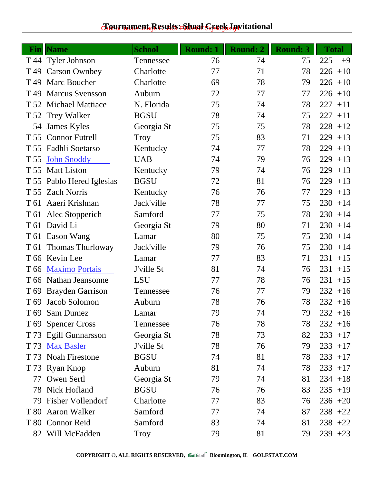### $c$ Eournament Results: Shoal C<sub>GSC8</sub> Lywitational

| Fin             | <b>Name</b>               | <b>School</b> | <b>Round: 1</b> | <b>Round: 2</b> | <b>Round: 3</b> | <b>Total</b> |
|-----------------|---------------------------|---------------|-----------------|-----------------|-----------------|--------------|
|                 | T 44 Tyler Johnson        | Tennessee     | 76              | 74              | 75              | 225<br>$+9$  |
|                 | T 49 Carson Ownbey        | Charlotte     | 77              | 71              | 78              | 226<br>$+10$ |
| T <sub>49</sub> | Marc Boucher              | Charlotte     | 69              | 78              | 79              | $226 + 10$   |
| T 49            | <b>Marcus Svensson</b>    | Auburn        | 72              | 77              | 77              | $226 + 10$   |
|                 | T 52 Michael Mattiace     | N. Florida    | 75              | 74              | 78              | 227<br>$+11$ |
|                 | T 52 Trey Walker          | <b>BGSU</b>   | 78              | 74              | 75              | $227 + 11$   |
|                 | 54 James Kyles            | Georgia St    | 75              | 75              | 78              | $228 + 12$   |
|                 | T 55 Connor Futrell       | <b>Troy</b>   | 75              | 83              | 71              | 229<br>$+13$ |
|                 | T 55 Fadhli Soetarso      | Kentucky      | 74              | 77              | 78              | 229<br>$+13$ |
| T 55            | <b>John Snoddy</b>        | <b>UAB</b>    | 74              | 79              | 76              | 229<br>$+13$ |
|                 | T 55 Matt Liston          | Kentucky      | 79              | 74              | 76              | 229<br>$+13$ |
|                 | T 55 Pablo Hered Iglesias | <b>BGSU</b>   | 72              | 81              | 76              | 229<br>$+13$ |
|                 | T 55 Zach Norris          | Kentucky      | 76              | 76              | 77              | 229<br>$+13$ |
|                 | T 61 Aaeri Krishnan       | Jack'ville    | 78              | 77              | 75              | $230 + 14$   |
|                 | T 61 Alec Stopperich      | Samford       | 77              | 75              | 78              | $230 + 14$   |
|                 | T 61 David Li             | Georgia St    | 79              | 80              | 71              | $230 + 14$   |
|                 | T 61 Eason Wang           | Lamar         | 80              | 75              | 75              | 230<br>$+14$ |
| T 61            | Thomas Thurloway          | Jack'ville    | 79              | 76              | 75              | 230<br>$+14$ |
|                 | T 66 Kevin Lee            | Lamar         | 77              | 83              | 71              | 231<br>$+15$ |
| T 66            | <b>Maximo Portais</b>     | J'ville St    | 81              | 74              | 76              | 231<br>$+15$ |
|                 | T 66 Nathan Jeansonne     | <b>LSU</b>    | 77              | 78              | 76              | 231<br>$+15$ |
|                 | T 69 Brayden Garrison     | Tennessee     | 76              | 77              | 79              | $232 + 16$   |
| T 69            | Jacob Solomon             | Auburn        | 78              | 76              | 78              | $232 + 16$   |
|                 | T 69 Sam Dumez            | Lamar         | 79              | 74              | 79              | $232 + 16$   |
|                 | T 69 Spencer Cross        | Tennessee     | 76              | 78              | 78              | $232 + 16$   |
|                 | T 73 Egill Gunnarsson     | Georgia St    | 78              | 73              | 82              | $233 + 17$   |
|                 | T 73 Max Basler           | J'ville St    | 78              | 76              | 79              | $233 + 17$   |
|                 | T 73 Noah Firestone       | <b>BGSU</b>   | 74              | 81              | 78              | $233 + 17$   |
|                 | T 73 Ryan Knop            | Auburn        | 81              | 74              | 78              | $233 + 17$   |
|                 | 77 Owen Sertl             | Georgia St    | 79              | 74              | 81              | $234 + 18$   |
|                 | 78 Nick Hofland           | <b>BGSU</b>   | 76              | 76              | 83              | $235 + 19$   |
|                 | 79 Fisher Vollendorf      | Charlotte     | 77              | 83              | 76              | $236 + 20$   |
|                 | T 80 Aaron Walker         | Samford       | 77              | 74              | 87              | $238 + 22$   |
|                 | T 80 Connor Reid          | Samford       | 83              | 74              | 81              | $238 + 22$   |
|                 | 82 Will McFadden          | Troy          | 79              | 81              | 79              | $239 + 23$   |